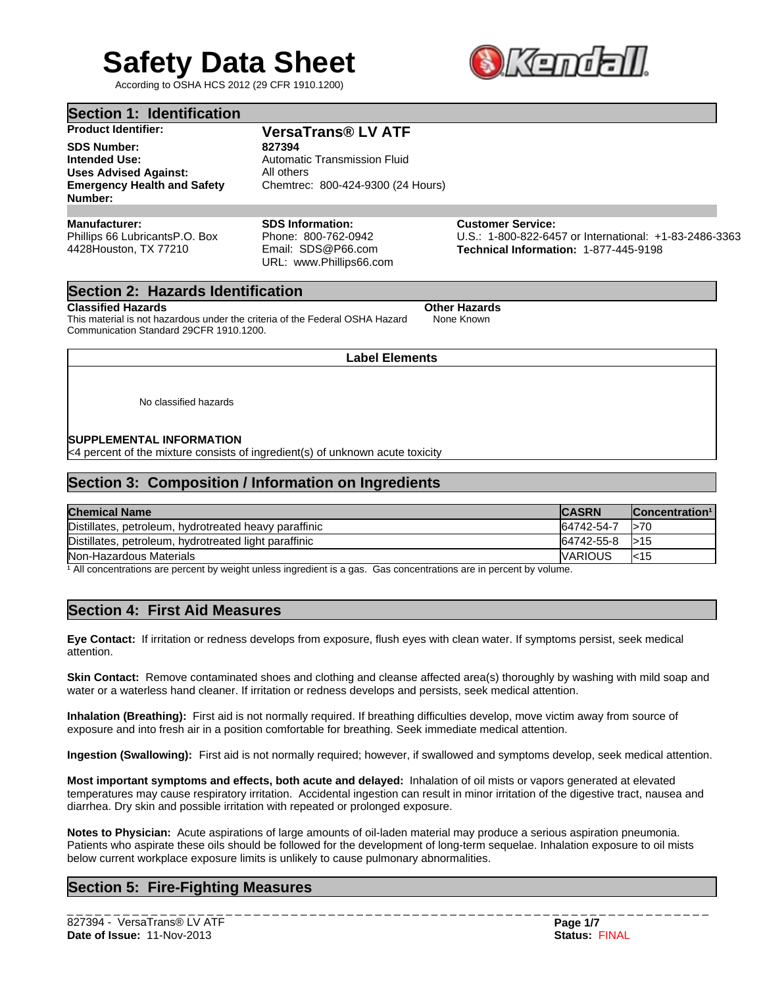# **Safety Data Sheet**

According to OSHA HCS 2012 (29 CFR 1910.1200)



|  | Section 1: Identification |  |
|--|---------------------------|--|
|--|---------------------------|--|

**SDS Number: 827394 Intended Use:** Automatic Transmission Fluid **Uses Advised Against:** All others **Emergency Health and Safety Number:**

# **Product Identifier: VersaTrans® LV ATF**

Chemtrec: 800-424-9300 (24 Hours)

# **Manufacturer:**

Phillips 66 LubricantsP.O. Box 4428Houston, TX 77210

#### **SDS Information:** Phone: 800-762-0942 Email: SDS@P66.com URL: www.Phillips66.com

**Customer Service:** U.S.: 1-800-822-6457 or International: +1-83-2486-3363 **Technical Information:** 1-877-445-9198

# **Section 2: Hazards Identification**

## **Classified Hazards Other Hazards**

This material is not hazardous under the criteria of the Federal OSHA Hazard Communication Standard 29CFR 1910.1200.

None Known

# **Label Elements**

No classified hazards

## **SUPPLEMENTAL INFORMATION**

<4 percent of the mixture consists of ingredient(s) of unknown acute toxicity

# **Section 3: Composition / Information on Ingredients**

| <b>Chemical Name</b>                                  | <b>CASRN</b>    | Concentration <sup>1</sup> |
|-------------------------------------------------------|-----------------|----------------------------|
| Distillates, petroleum, hydrotreated heavy paraffinic | 64742-54-7      | $\mathsf{I}$ > 70          |
| Distillates, petroleum, hydrotreated light paraffinic | 64742-55-8      | 1 > 15                     |
| Non-Hazardous Materials                               | <b>IVARIOUS</b> | $k$ 15                     |

 $\frac{1}{1}$  All concentrations are percent by weight unless ingredient is a gas. Gas concentrations are in percent by volume.

# **Section 4: First Aid Measures**

**Eye Contact:** If irritation or redness develops from exposure, flush eyes with clean water. If symptoms persist, seek medical attention.

**Skin Contact:** Remove contaminated shoes and clothing and cleanse affected area(s) thoroughly by washing with mild soap and water or a waterless hand cleaner. If irritation or redness develops and persists, seek medical attention.

**Inhalation (Breathing):** First aid is not normally required. If breathing difficulties develop, move victim away from source of exposure and into fresh air in a position comfortable for breathing. Seek immediate medical attention.

**Ingestion (Swallowing):** First aid is not normally required; however, if swallowed and symptoms develop, seek medical attention.

**Most important symptoms and effects, both acute and delayed:** Inhalation of oil mists or vapors generated at elevated temperatures may cause respiratory irritation. Accidental ingestion can result in minor irritation of the digestive tract, nausea and diarrhea. Dry skin and possible irritation with repeated or prolonged exposure.

**Notes to Physician:** Acute aspirations of large amounts of oil-laden material may produce a serious aspiration pneumonia. Patients who aspirate these oils should be followed for the development of long-term sequelae. Inhalation exposure to oil mists below current workplace exposure limits is unlikely to cause pulmonary abnormalities.

# **Section 5: Fire-Fighting Measures**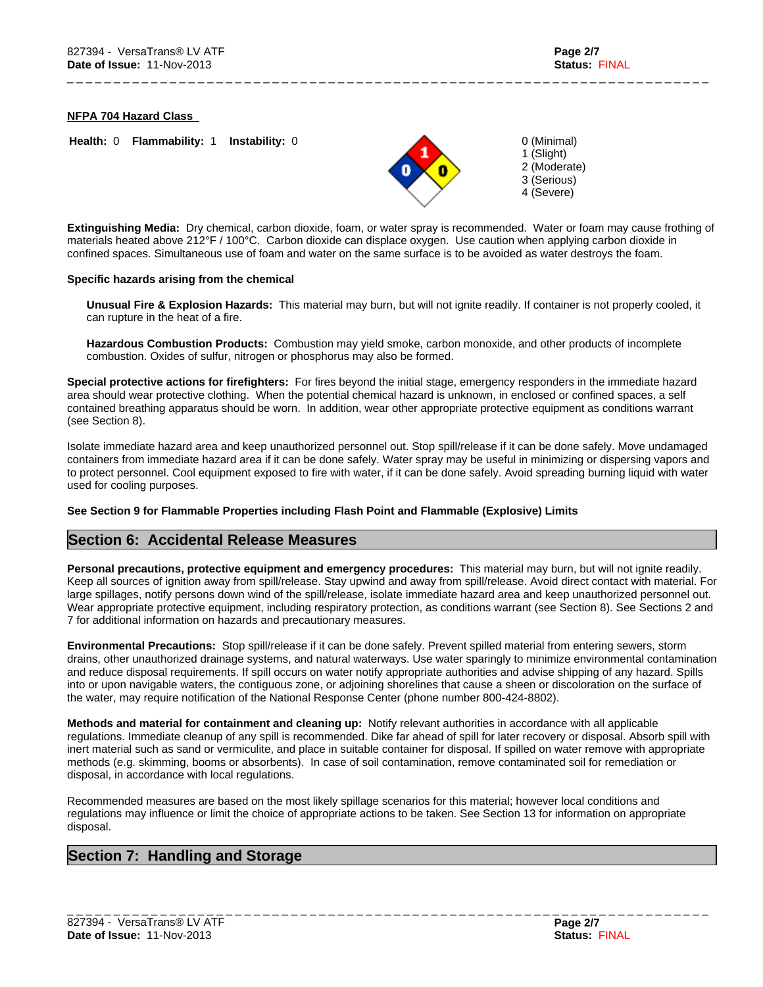**NFPA 704 Hazard Class** 

**Health:** 0 **Flammability:** 1 **Instability:** 0



\_ \_ \_ \_ \_ \_ \_ \_ \_ \_ \_ \_ \_ \_ \_ \_ \_ \_ \_ \_ \_ \_ \_ \_ \_ \_ \_ \_ \_ \_ \_ \_ \_ \_ \_ \_ \_ \_ \_ \_ \_ \_ \_ \_ \_ \_ \_ \_ \_ \_ \_ \_ \_ \_ \_ \_ \_ \_ \_ \_ \_ \_ \_ \_ \_ \_ \_ \_ \_

0 (Minimal) 1 (Slight) 2 (Moderate) 3 (Serious) 4 (Severe)

**Extinguishing Media:** Dry chemical, carbon dioxide, foam, or water spray is recommended. Water or foam may cause frothing of materials heated above 212°F / 100°C. Carbon dioxide can displace oxygen. Use caution when applying carbon dioxide in confined spaces. Simultaneous use of foam and water on the same surface is to be avoided as water destroys the foam.

#### **Specific hazards arising from the chemical**

**Unusual Fire & Explosion Hazards:** This material may burn, but will not ignite readily. If container is not properly cooled, it can rupture in the heat of a fire.

**Hazardous Combustion Products:** Combustion may yield smoke, carbon monoxide, and other products of incomplete combustion. Oxides of sulfur, nitrogen or phosphorus may also be formed.

**Special protective actions for firefighters:** For fires beyond the initial stage, emergency responders in the immediate hazard area should wear protective clothing. When the potential chemical hazard is unknown, in enclosed or confined spaces, a self contained breathing apparatus should be worn. In addition, wear other appropriate protective equipment as conditions warrant (see Section 8).

Isolate immediate hazard area and keep unauthorized personnel out. Stop spill/release if it can be done safely. Move undamaged containers from immediate hazard area if it can be done safely. Water spray may be useful in minimizing or dispersing vapors and to protect personnel. Cool equipment exposed to fire with water, if it can be done safely. Avoid spreading burning liquid with water used for cooling purposes.

## **See Section 9 for Flammable Properties including Flash Point and Flammable (Explosive) Limits**

# **Section 6: Accidental Release Measures**

**Personal precautions, protective equipment and emergency procedures:** This material may burn, but will not ignite readily. Keep all sources of ignition away from spill/release. Stay upwind and away from spill/release. Avoid direct contact with material. For large spillages, notify persons down wind of the spill/release, isolate immediate hazard area and keep unauthorized personnel out. Wear appropriate protective equipment, including respiratory protection, as conditions warrant (see Section 8). See Sections 2 and 7 for additional information on hazards and precautionary measures.

**Environmental Precautions:** Stop spill/release if it can be done safely. Prevent spilled material from entering sewers, storm drains, other unauthorized drainage systems, and natural waterways. Use water sparingly to minimize environmental contamination and reduce disposal requirements. If spill occurs on water notify appropriate authorities and advise shipping of any hazard. Spills into or upon navigable waters, the contiguous zone, or adjoining shorelines that cause a sheen or discoloration on the surface of the water, may require notification of the National Response Center (phone number 800-424-8802).

**Methods and material for containment and cleaning up:** Notify relevant authorities in accordance with all applicable regulations. Immediate cleanup of any spill is recommended. Dike far ahead of spill for later recovery or disposal. Absorb spill with inert material such as sand or vermiculite, and place in suitable container for disposal. If spilled on water remove with appropriate methods (e.g. skimming, booms or absorbents). In case of soil contamination, remove contaminated soil for remediation or disposal, in accordance with local regulations.

Recommended measures are based on the most likely spillage scenarios for this material; however local conditions and regulations may influence or limit the choice of appropriate actions to be taken. See Section 13 for information on appropriate disposal.

# **Section 7: Handling and Storage**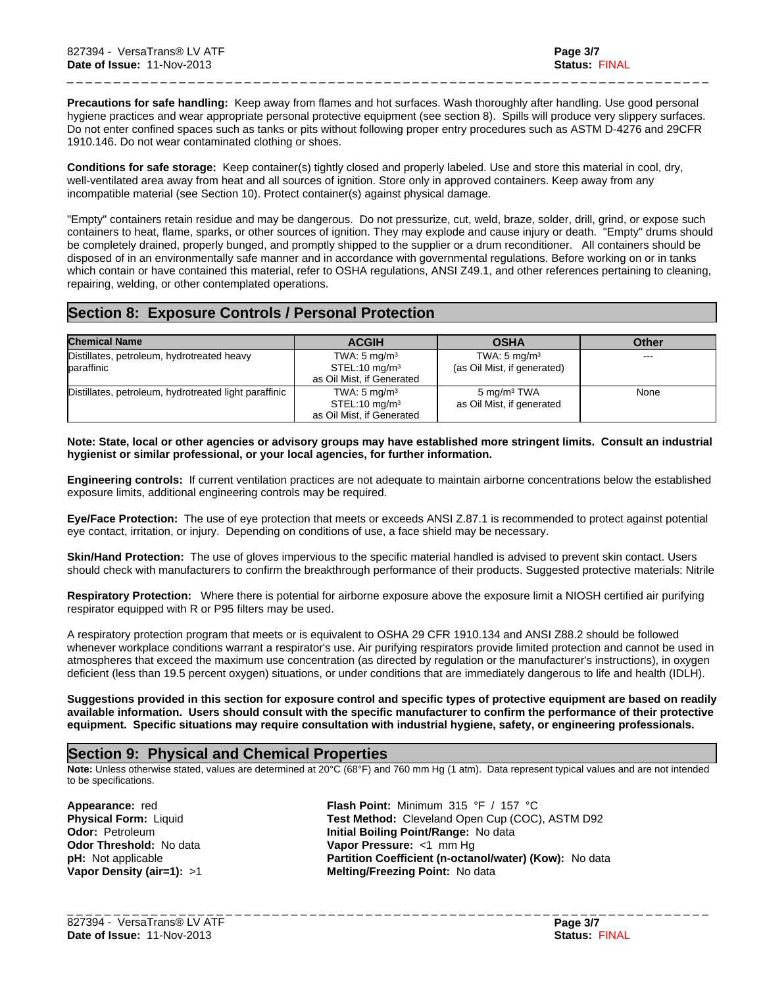**Precautions for safe handling:** Keep away from flames and hot surfaces. Wash thoroughly after handling. Use good personal hygiene practices and wear appropriate personal protective equipment (see section 8). Spills will produce very slippery surfaces. Do not enter confined spaces such as tanks or pits without following proper entry procedures such as ASTM D-4276 and 29CFR 1910.146. Do not wear contaminated clothing or shoes.

\_ \_ \_ \_ \_ \_ \_ \_ \_ \_ \_ \_ \_ \_ \_ \_ \_ \_ \_ \_ \_ \_ \_ \_ \_ \_ \_ \_ \_ \_ \_ \_ \_ \_ \_ \_ \_ \_ \_ \_ \_ \_ \_ \_ \_ \_ \_ \_ \_ \_ \_ \_ \_ \_ \_ \_ \_ \_ \_ \_ \_ \_ \_ \_ \_ \_ \_ \_ \_

**Conditions for safe storage:** Keep container(s) tightly closed and properly labeled. Use and store this material in cool, dry, well-ventilated area away from heat and all sources of ignition. Store only in approved containers. Keep away from any incompatible material (see Section 10). Protect container(s) against physical damage.

"Empty" containers retain residue and may be dangerous. Do not pressurize, cut, weld, braze, solder, drill, grind, or expose such containers to heat, flame, sparks, or other sources of ignition. They may explode and cause injury or death. "Empty" drums should be completely drained, properly bunged, and promptly shipped to the supplier or a drum reconditioner. All containers should be disposed of in an environmentally safe manner and in accordance with governmental regulations. Before working on or in tanks which contain or have contained this material, refer to OSHA regulations, ANSI Z49.1, and other references pertaining to cleaning, repairing, welding, or other contemplated operations.

# **Section 8: Exposure Controls / Personal Protection**

| <b>Chemical Name</b>                                     | <b>ACGIH</b>                                                                        | <b>OSHA</b>                                            | Other |
|----------------------------------------------------------|-------------------------------------------------------------------------------------|--------------------------------------------------------|-------|
| Distillates, petroleum, hydrotreated heavy<br>baraffinic | TWA: $5 \text{ mg/m}^3$<br>$STEL:10$ mg/m $3$<br>as Oil Mist, if Generated          | TWA: $5 \text{ mg/m}^3$<br>(as Oil Mist, if generated) | ---   |
| Distillates, petroleum, hydrotreated light paraffinic    | TWA: $5 \text{ mg/m}^3$<br>$STEL:10$ mg/m <sup>3</sup><br>as Oil Mist, if Generated | 5 mg/m <sup>3</sup> TWA<br>as Oil Mist, if generated   | None  |

#### **Note: State, local or other agencies or advisory groups may have established more stringent limits. Consult an industrial hygienist or similar professional, or your local agencies, for further information.**

**Engineering controls:** If current ventilation practices are not adequate to maintain airborne concentrations below the established exposure limits, additional engineering controls may be required.

**Eye/Face Protection:** The use of eye protection that meets or exceeds ANSI Z.87.1 is recommended to protect against potential eye contact, irritation, or injury. Depending on conditions of use, a face shield may be necessary.

**Skin/Hand Protection:** The use of gloves impervious to the specific material handled is advised to prevent skin contact. Users should check with manufacturers to confirm the breakthrough performance of their products. Suggested protective materials: Nitrile

**Respiratory Protection:** Where there is potential for airborne exposure above the exposure limit a NIOSH certified air purifying respirator equipped with R or P95 filters may be used.

A respiratory protection program that meets or is equivalent to OSHA 29 CFR 1910.134 and ANSI Z88.2 should be followed whenever workplace conditions warrant a respirator's use. Air purifying respirators provide limited protection and cannot be used in atmospheres that exceed the maximum use concentration (as directed by regulation or the manufacturer's instructions), in oxygen deficient (less than 19.5 percent oxygen) situations, or under conditions that are immediately dangerous to life and health (IDLH).

**Suggestions provided in this section for exposure control and specific types of protective equipment are based on readily available information. Users should consult with the specific manufacturer to confirm the performance of their protective equipment. Specific situations may require consultation with industrial hygiene, safety, or engineering professionals.**

# **Section 9: Physical and Chemical Properties**

**Note:** Unless otherwise stated, values are determined at 20°C (68°F) and 760 mm Hg (1 atm). Data represent typical values and are not intended to be specifications.

**pH:** Not applicable

**Appearance:** red **Flash Point:** Minimum 315 °F / 157 °C **Physical Form:** Liquid **Test Method:** Cleveland Open Cup (COC), ASTM D92 **Odor: Petroleum <b>Initial Boiling Point/Range:** No data **Odor Threshold:** No data **Vapor Pressure:** <1 mm Hg **Partition Coefficient (n-octanol/water) (Kow):** No data **Vapor Density (air=1):** >1 **Melting/Freezing Point:** No data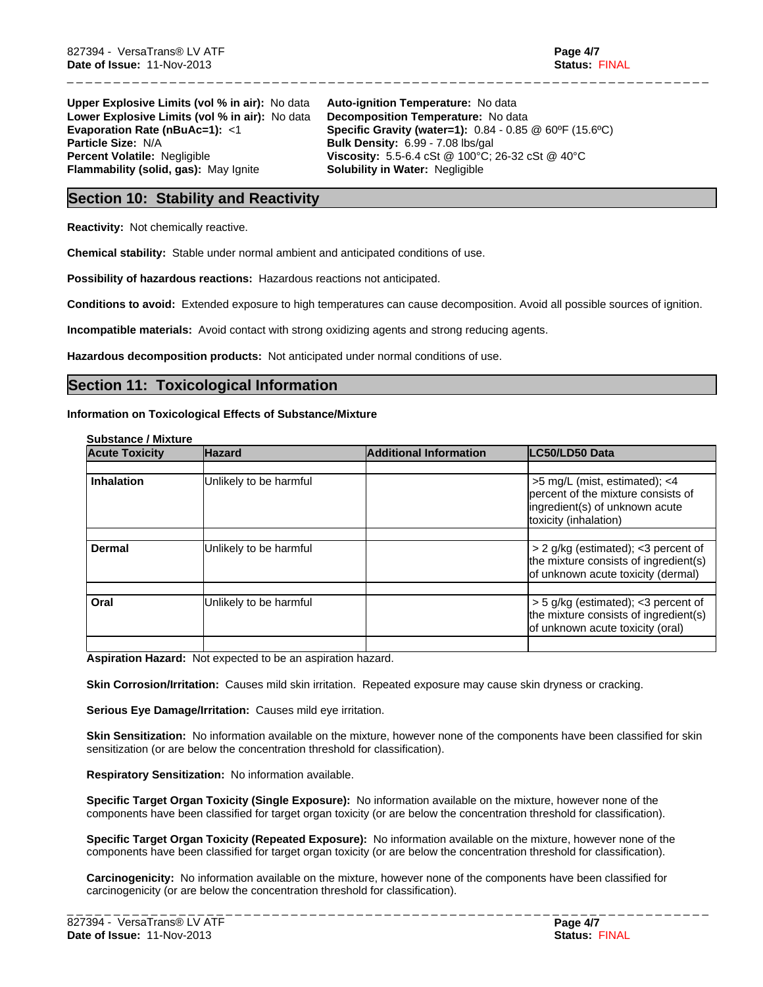**Upper Explosive Limits (vol % in air):** No data **Auto-ignition Temperature:** No data Lower Explosive Limits (vol % in air): No data Decomposition Temperature: No data<br>**Evaporation Rate (nBuAc=1):** <1 **Specific Gravity (water=1):** 0.84 - 0.85 **Particle Size:** N/A **Bulk Density:** 6.99 - 7.08 lbs/gal **Percent Volatile:** Negligible **Construct Viscosity:** 5.5-6.4 cSt @ 100°C; **Flammability (solid, gas):** May Ignite **Solubility in Water:** Negligible

**Evaporation Rate (nBuAc=1):** <1 **Specific Gravity (water=1):** 0.84 - 0.85 @ 60°F (15.6°C)<br>**Particle Size:** N/A **BuIK Density:** 6.99 - 7.08 lbs/gal **Viscosity:** 5.5-6.4 cSt @ 100°C; 26-32 cSt @ 40°C

\_ \_ \_ \_ \_ \_ \_ \_ \_ \_ \_ \_ \_ \_ \_ \_ \_ \_ \_ \_ \_ \_ \_ \_ \_ \_ \_ \_ \_ \_ \_ \_ \_ \_ \_ \_ \_ \_ \_ \_ \_ \_ \_ \_ \_ \_ \_ \_ \_ \_ \_ \_ \_ \_ \_ \_ \_ \_ \_ \_ \_ \_ \_ \_ \_ \_ \_ \_ \_

# **Section 10: Stability and Reactivity**

**Reactivity:** Not chemically reactive.

**Chemical stability:** Stable under normal ambient and anticipated conditions of use.

**Possibility of hazardous reactions:** Hazardous reactions not anticipated.

**Conditions to avoid:** Extended exposure to high temperatures can cause decomposition. Avoid all possible sources of ignition.

**Incompatible materials:** Avoid contact with strong oxidizing agents and strong reducing agents.

**Hazardous decomposition products:** Not anticipated under normal conditions of use.

# **Section 11: Toxicological Information**

#### **Information on Toxicological Effects of Substance/Mixture**

| <b>Substance / Mixture</b> |  |
|----------------------------|--|
|----------------------------|--|

| <b>Acute Toxicity</b> | <b>Hazard</b>          | <b>Additional Information</b> | LC50/LD50 Data                                                                                                                     |
|-----------------------|------------------------|-------------------------------|------------------------------------------------------------------------------------------------------------------------------------|
|                       |                        |                               |                                                                                                                                    |
| <b>Inhalation</b>     | Unlikely to be harmful |                               | $>5$ mg/L (mist, estimated); $<4$<br>percent of the mixture consists of<br>ingredient(s) of unknown acute<br>toxicity (inhalation) |
|                       |                        |                               |                                                                                                                                    |
| Dermal                | Unlikely to be harmful |                               | > 2 g/kg (estimated); < 3 percent of<br>the mixture consists of ingredient(s)<br>of unknown acute toxicity (dermal)                |
| Oral                  | Unlikely to be harmful |                               | > 5 g/kg (estimated); <3 percent of                                                                                                |
|                       |                        |                               | the mixture consists of ingredient(s)<br>of unknown acute toxicity (oral)                                                          |
|                       |                        |                               |                                                                                                                                    |

**Aspiration Hazard:** Not expected to be an aspiration hazard.

**Skin Corrosion/Irritation:** Causes mild skin irritation. Repeated exposure may cause skin dryness or cracking.

**Serious Eye Damage/Irritation:** Causes mild eye irritation.

**Skin Sensitization:** No information available on the mixture, however none of the components have been classified for skin sensitization (or are below the concentration threshold for classification).

**Respiratory Sensitization:** No information available.

**Specific Target Organ Toxicity (Single Exposure):** No information available on the mixture, however none of the components have been classified for target organ toxicity (or are below the concentration threshold for classification).

**Specific Target Organ Toxicity (Repeated Exposure):** No information available on the mixture, however none of the components have been classified for target organ toxicity (or are below the concentration threshold for classification).

**Carcinogenicity:** No information available on the mixture, however none of the components have been classified for carcinogenicity (or are below the concentration threshold for classification).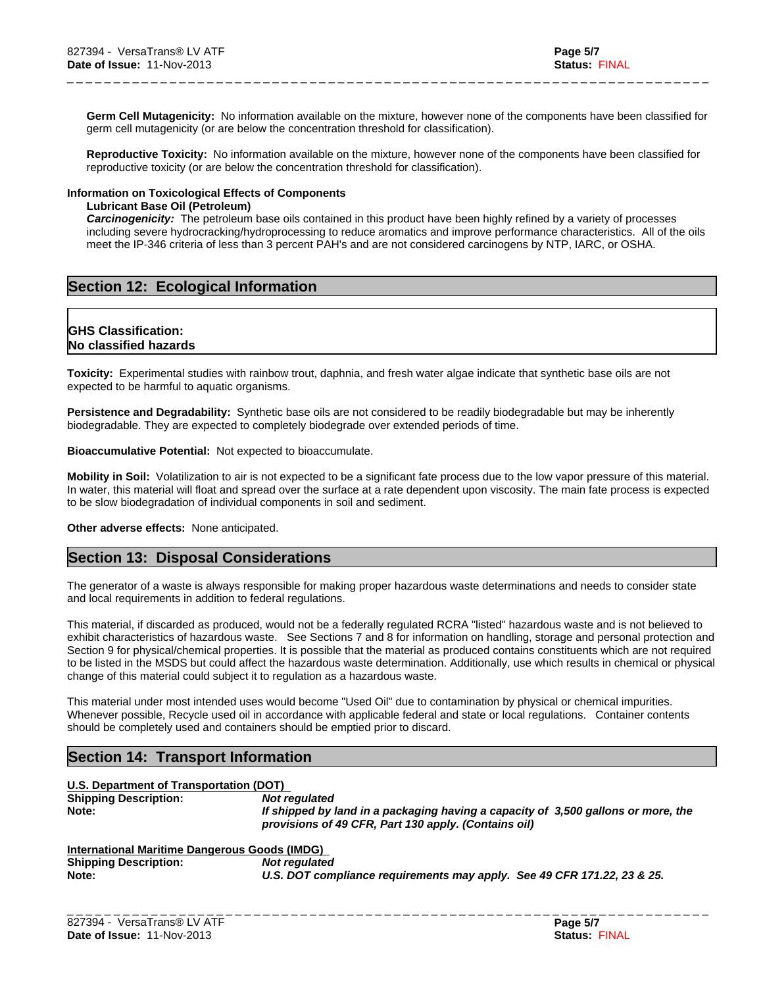**Germ Cell Mutagenicity:** No information available on the mixture, however none of the components have been classified for germ cell mutagenicity (or are below the concentration threshold for classification).

\_ \_ \_ \_ \_ \_ \_ \_ \_ \_ \_ \_ \_ \_ \_ \_ \_ \_ \_ \_ \_ \_ \_ \_ \_ \_ \_ \_ \_ \_ \_ \_ \_ \_ \_ \_ \_ \_ \_ \_ \_ \_ \_ \_ \_ \_ \_ \_ \_ \_ \_ \_ \_ \_ \_ \_ \_ \_ \_ \_ \_ \_ \_ \_ \_ \_ \_ \_ \_

**Reproductive Toxicity:** No information available on the mixture, however none of the components have been classified for reproductive toxicity (or are below the concentration threshold for classification).

#### **Information on Toxicological Effects of Components**

#### **Lubricant Base Oil (Petroleum)**

*Carcinogenicity:* The petroleum base oils contained in this product have been highly refined by a variety of processes including severe hydrocracking/hydroprocessing to reduce aromatics and improve performance characteristics. All of the oils meet the IP-346 criteria of less than 3 percent PAH's and are not considered carcinogens by NTP, IARC, or OSHA.

# **Section 12: Ecological Information**

# **GHS Classification: No classified hazards**

**Toxicity:** Experimental studies with rainbow trout, daphnia, and fresh water algae indicate that synthetic base oils are not expected to be harmful to aquatic organisms.

**Persistence and Degradability:** Synthetic base oils are not considered to be readily biodegradable but may be inherently biodegradable. They are expected to completely biodegrade over extended periods of time.

**Bioaccumulative Potential:** Not expected to bioaccumulate.

**Mobility in Soil:** Volatilization to air is not expected to be a significant fate process due to the low vapor pressure of this material. In water, this material will float and spread over the surface at a rate dependent upon viscosity. The main fate process is expected to be slow biodegradation of individual components in soil and sediment.

**Other adverse effects:** None anticipated.

# **Section 13: Disposal Considerations**

The generator of a waste is always responsible for making proper hazardous waste determinations and needs to consider state and local requirements in addition to federal regulations.

This material, if discarded as produced, would not be a federally regulated RCRA "listed" hazardous waste and is not believed to exhibit characteristics of hazardous waste. See Sections 7 and 8 for information on handling, storage and personal protection and Section 9 for physical/chemical properties. It is possible that the material as produced contains constituents which are not required to be listed in the MSDS but could affect the hazardous waste determination. Additionally, use which results in chemical or physical change of this material could subject it to regulation as a hazardous waste.

This material under most intended uses would become "Used Oil" due to contamination by physical or chemical impurities. Whenever possible, Recycle used oil in accordance with applicable federal and state or local regulations. Container contents should be completely used and containers should be emptied prior to discard.

# **Section 14: Transport Information**

# **U.S. Department of Transportation (DOT)**

| <b>Shipping Description:</b> | Not reaulated                                                                     |
|------------------------------|-----------------------------------------------------------------------------------|
| Note:                        | If shipped by land in a packaging having a capacity of 3,500 gallons or more, the |
|                              | provisions of 49 CFR, Part 130 apply. (Contains oil)                              |
|                              |                                                                                   |

# **International Maritime Dangerous Goods (IMDG)**

| <b>Shipping Description:</b> | Not regulated                                                           |
|------------------------------|-------------------------------------------------------------------------|
| Note:                        | U.S. DOT compliance requirements may apply. See 49 CFR 171.22, 23 & 25. |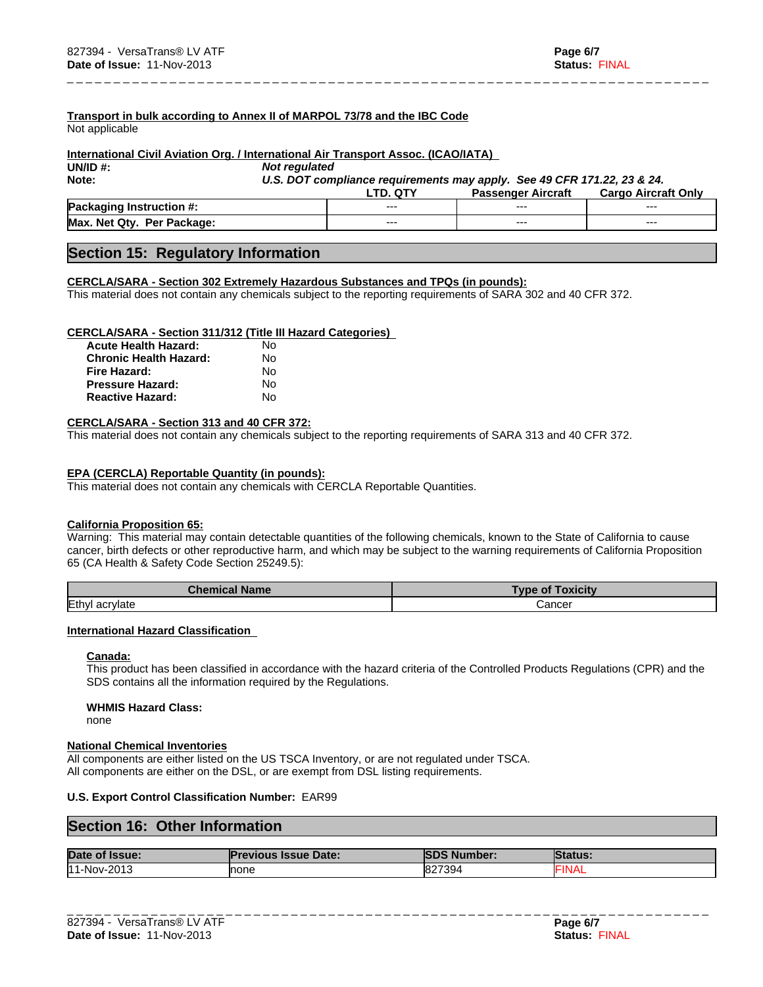**Transport in bulk according to Annex II of MARPOL 73/78 and the IBC Code**

Not applicable

## **International Civil Aviation Org. / International Air Transport Assoc. (ICAO/IATA)**

**UN/ID #:** *Not regulated*

**Note:** *U.S. DOT compliance requirements may apply. See 49 CFR 171.22, 23 & 24.*

\_ \_ \_ \_ \_ \_ \_ \_ \_ \_ \_ \_ \_ \_ \_ \_ \_ \_ \_ \_ \_ \_ \_ \_ \_ \_ \_ \_ \_ \_ \_ \_ \_ \_ \_ \_ \_ \_ \_ \_ \_ \_ \_ \_ \_ \_ \_ \_ \_ \_ \_ \_ \_ \_ \_ \_ \_ \_ \_ \_ \_ \_ \_ \_ \_ \_ \_ \_ \_

|                                           |         | Aircrafu<br>Passenger | Only<br>Carqo<br>Aircraft |
|-------------------------------------------|---------|-----------------------|---------------------------|
| <b>Pack.</b><br>Instruction<br>$\bm{\pi}$ | $- - -$ | ---                   | ---                       |
| Max.<br><b>Net Qtv</b><br>Per Package:    | $- - -$ | ---                   | $- - -$                   |

# **Section 15: Regulatory Information**

## **CERCLA/SARA - Section 302 Extremely Hazardous Substances and TPQs (in pounds):**

This material does not contain any chemicals subject to the reporting requirements of SARA 302 and 40 CFR 372.

## **CERCLA/SARA - Section 311/312 (Title III Hazard Categories)**

| <b>Acute Health Hazard:</b>   | N٥ |
|-------------------------------|----|
| <b>Chronic Health Hazard:</b> | N٥ |
| Fire Hazard:                  | N٥ |
| <b>Pressure Hazard:</b>       | N٥ |
| <b>Reactive Hazard:</b>       | N٥ |

#### **CERCLA/SARA - Section 313 and 40 CFR 372:**

This material does not contain any chemicals subject to the reporting requirements of SARA 313 and 40 CFR 372.

## **EPA (CERCLA) Reportable Quantity (in pounds):**

This material does not contain any chemicals with CERCLA Reportable Quantities.

## **California Proposition 65:**

Warning: This material may contain detectable quantities of the following chemicals, known to the State of California to cause cancer, birth defects or other reproductive harm, and which may be subject to the warning requirements of California Proposition 65 (CA Health & Safety Code Section 25249.5):

| <b>Chemical</b><br><b>Name</b> | <b>oxicity</b><br><b>VDe</b><br>Οi |
|--------------------------------|------------------------------------|
| Ethyl<br>acrylate              | شancer                             |

## **International Hazard Classification**

## **Canada:**

This product has been classified in accordance with the hazard criteria of the Controlled Products Regulations (CPR) and the SDS contains all the information required by the Regulations.

## **WHMIS Hazard Class:**

none

## **National Chemical Inventories**

All components are either listed on the US TSCA Inventory, or are not regulated under TSCA. All components are either on the DSL, or are exempt from DSL listing requirements.

## **U.S. Export Control Classification Number:** EAR99

# **Section 16: Other Information**

| Date of Issue: | <b>Previous Issue Date:</b> | <b>SDS Number:</b> | <b>Status:</b> |
|----------------|-----------------------------|--------------------|----------------|
| 11-Nov-2013    | <b>Inone</b>                | 827394             | <b>FINAL</b>   |
|                |                             |                    |                |
|                |                             |                    |                |
|                |                             |                    |                |